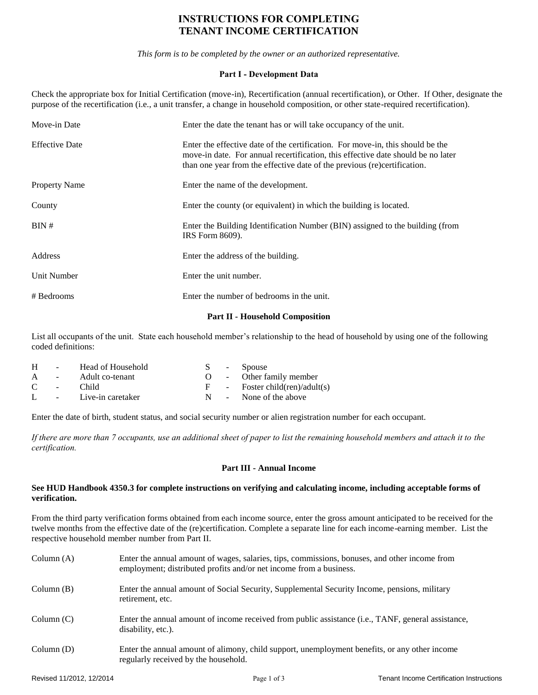# **INSTRUCTIONS FOR COMPLETING TENANT INCOME CERTIFICATION**

*This form is to be completed by the owner or an authorized representative.*

# **Part I - Development Data**

Check the appropriate box for Initial Certification (move-in), Recertification (annual recertification), or Other. If Other, designate the purpose of the recertification (i.e., a unit transfer, a change in household composition, or other state-required recertification).

| Move-in Date          | Enter the date the tenant has or will take occupancy of the unit.                                                                                                                                                                              |
|-----------------------|------------------------------------------------------------------------------------------------------------------------------------------------------------------------------------------------------------------------------------------------|
| <b>Effective Date</b> | Enter the effective date of the certification. For move-in, this should be the<br>move-in date. For annual recertification, this effective date should be no later<br>than one year from the effective date of the previous (re)certification. |
| <b>Property Name</b>  | Enter the name of the development.                                                                                                                                                                                                             |
| County                | Enter the county (or equivalent) in which the building is located.                                                                                                                                                                             |
| BIN#                  | Enter the Building Identification Number (BIN) assigned to the building (from<br>IRS Form 8609).                                                                                                                                               |
| Address               | Enter the address of the building.                                                                                                                                                                                                             |
| Unit Number           | Enter the unit number.                                                                                                                                                                                                                         |
| # Bedrooms            | Enter the number of bedrooms in the unit.                                                                                                                                                                                                      |

#### **Part II - Household Composition**

List all occupants of the unit. State each household member's relationship to the head of household by using one of the following coded definitions:

| H            | $\sim 100$               | Head of Household   |     | S - Spouse                   |
|--------------|--------------------------|---------------------|-----|------------------------------|
| $\mathsf{A}$ | <b>Contract Contract</b> | Adult co-tenant     |     | O - Other family member      |
| C            | $\sim$ 10 $\pm$          | Child.              |     | - Foster child(ren)/adult(s) |
| $\mathbf{L}$ |                          | - Live-in caretaker | N . | - None of the above          |

Enter the date of birth, student status, and social security number or alien registration number for each occupant.

*If there are more than 7 occupants, use an additional sheet of paper to list the remaining household members and attach it to the certification.*

# **Part III - Annual Income**

#### **See HUD Handbook 4350.3 for complete instructions on verifying and calculating income, including acceptable forms of verification.**

From the third party verification forms obtained from each income source, enter the gross amount anticipated to be received for the twelve months from the effective date of the (re)certification. Complete a separate line for each income-earning member. List the respective household member number from Part II.

| Column $(A)$ | Enter the annual amount of wages, salaries, tips, commissions, bonuses, and other income from<br>employment; distributed profits and/or net income from a business. |
|--------------|---------------------------------------------------------------------------------------------------------------------------------------------------------------------|
| Column $(B)$ | Enter the annual amount of Social Security, Supplemental Security Income, pensions, military<br>retirement, etc.                                                    |
| Column(C)    | Enter the annual amount of income received from public assistance (i.e., TANF, general assistance,<br>disability, etc.).                                            |
| Column(D)    | Enter the annual amount of alimony, child support, unemployment benefits, or any other income<br>regularly received by the household.                               |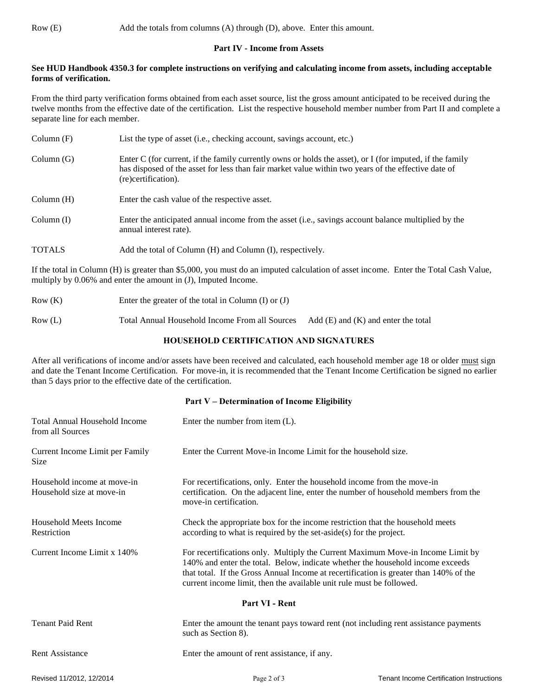#### **Part IV - Income from Assets**

#### **See HUD Handbook 4350.3 for complete instructions on verifying and calculating income from assets, including acceptable forms of verification.**

From the third party verification forms obtained from each asset source, list the gross amount anticipated to be received during the twelve months from the effective date of the certification. List the respective household member number from Part II and complete a separate line for each member.

| Column(F)     | List the type of asset (i.e., checking account, savings account, etc.)                                                                                                                                                                 |
|---------------|----------------------------------------------------------------------------------------------------------------------------------------------------------------------------------------------------------------------------------------|
| Column(G)     | Enter C (for current, if the family currently owns or holds the asset), or I (for imputed, if the family<br>has disposed of the asset for less than fair market value within two years of the effective date of<br>(re)certification). |
| Column(H)     | Enter the cash value of the respective asset.                                                                                                                                                                                          |
| Column(I)     | Enter the anticipated annual income from the asset (i.e., savings account balance multiplied by the<br>annual interest rate).                                                                                                          |
| <b>TOTALS</b> | Add the total of Column (H) and Column (I), respectively.                                                                                                                                                                              |

If the total in Column (H) is greater than \$5,000, you must do an imputed calculation of asset income. Enter the Total Cash Value, multiply by 0.06% and enter the amount in (J), Imputed Income.

- Row (K) Enter the greater of the total in Column (I) or (J)
- Row (L) Total Annual Household Income From all Sources Add (E) and (K) and enter the total

# **HOUSEHOLD CERTIFICATION AND SIGNATURES**

After all verifications of income and/or assets have been received and calculated, each household member age 18 or older must sign and date the Tenant Income Certification. For move-in, it is recommended that the Tenant Income Certification be signed no earlier than 5 days prior to the effective date of the certification.

#### **Part V – Determination of Income Eligibility**

| <b>Total Annual Household Income</b><br>from all Sources | Enter the number from item $(L)$ .                                                                                                                                                                                                                                                                                                 |  |
|----------------------------------------------------------|------------------------------------------------------------------------------------------------------------------------------------------------------------------------------------------------------------------------------------------------------------------------------------------------------------------------------------|--|
| Current Income Limit per Family<br>Size                  | Enter the Current Move-in Income Limit for the household size.                                                                                                                                                                                                                                                                     |  |
| Household income at move-in<br>Household size at move-in | For recertifications, only. Enter the household income from the move-in<br>certification. On the adjacent line, enter the number of household members from the<br>move-in certification.                                                                                                                                           |  |
| Household Meets Income<br>Restriction                    | Check the appropriate box for the income restriction that the household meets<br>according to what is required by the set-aside $(s)$ for the project.                                                                                                                                                                             |  |
| Current Income Limit x 140%                              | For recertifications only. Multiply the Current Maximum Move-in Income Limit by<br>140% and enter the total. Below, indicate whether the household income exceeds<br>that total. If the Gross Annual Income at recertification is greater than 140% of the<br>current income limit, then the available unit rule must be followed. |  |
| Part VI - Rent                                           |                                                                                                                                                                                                                                                                                                                                    |  |
| <b>Tenant Paid Rent</b>                                  | Enter the amount the tenant pays toward rent (not including rent assistance payments<br>such as Section 8).                                                                                                                                                                                                                        |  |
| Rent Assistance                                          | Enter the amount of rent assistance, if any.                                                                                                                                                                                                                                                                                       |  |